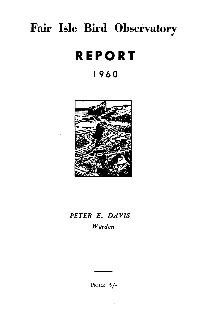# **Fair Isle Bird Observatory**

# **REPORT**

# **1960**



# *PETER E. DAVIS Warden*

PRICE 5/-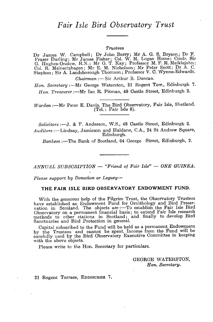# *Fair Isle Bird Observatory Trust*

#### *Trustees*

Dr James W. Campbell; Dr John Berry; Mr A. G. S. Bryson; Dr F. Fraser Darling; Mr James Fisher; Col. W. M. Logan Home; Cmdr. Sir G. Hughes-Onslow, R.N.; Mr G. T. Kay; Professor M. F. M. Meiklejohn; Col. R. Meinertzhagen; Mr E. M. Nicholson; Mr Peter Scott; Dr A. C. Stephen; Sir A. Landsborough Thomson; Professor V. C. Wynne-Edwards.

*Chairman* :- Sir Arthur B. Duncan.

*Hon. Secretary:-Mr* George Waterston, 21 Regent Terr., Edinburgh 7. Hon. Treasurer :- Mr Ian R. Pitman, 48 Castle Street, Edinburgh 2.

*Warden* :- Mr Peter E. Davis, The Bird Observatory, Fair Isle, Shetland. (Tel.: Fair Isle 8).

*Solicitors* :-J. & F. Anderson, W.S., 48 Castle Street, Edinburgh 2. *Auditors* :-Lindsay, Jamieson and Haldane, C.A., 24 St Andrew Square, Edinburgh.

*Bankers* :-The Bank of Scotland, 64 George Street, Edinburgh, 2.

#### *ANNUAL SUBSCRIPTION* - *"Friend ot Fair Isle"* - *ONE GUINEA.*

*Please support by Donation or Legacy-*

#### THE FAIR ISLE BIRD OBSERVATORY ENDOWMENT FUND.

With the generous help of the Pilgrim Trust, the Observatory Trustees have established an Endowment Fund for Ornithology and Bird Preservation in Scotland. The objects are :—To establish the Fair Isle Bird Observatory on a permanent financial basis; to extend Fair Isle research methods to ot Sanctuaries and Bird Protection in general.

Capital subscribed to the Fund will be held as a permanent Endowment by the Trustees and cannot be spent. Income from the Fund will be carefully used by the Bird Observatory Executive Committee in keeping with the above objects.

Please write to the Hon. Secretary for particulars.

GEORGE WATERSTON, *Hon. Secretary.* 

21 Regent Terrace, EDINBURGH 7.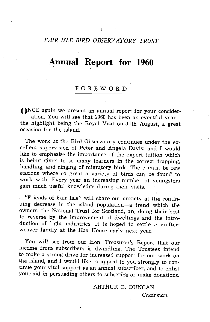## *FAIR ISLE BIRD OBSERVATORY TRUST*

# **Annual Report for 1960**

# FOREWORD

ONCE again we present an annual report for your consideration. You will see that 1960 has been an eventful yearthe highlight being the Royal Visit on 11th August, a great occasion for the island.

The work at the Bird Observatory continues under the excellent supervision of Peter and Angela Davis; and I would like to emphasise the importance of the expert tuition which is being given to so many learners in the correct trapping, handling, and ringing of migratory birds. There must be few stations where so great a variety of birds can be found to work with. Every year an increasing number of youngsters gain much useful knowledge during their visits.

"Friends of Fair Isle" will share our anxiety at the continuing decrease in the island population-a trend which the owners, the National Trust for Scotland, are doing their best to reverse by the improvement of dwellings and the introduction of light industries. It is hoped to settle a crofterweaver family at the Haa House early next year.

You will see from our Hon. Treasurer's Report that our income from subscribers is dwindling. The Trustees intend to make a strong drive for increased support for our work on the island, and I would like to appeal to you strongly to continue your vital support as an annual subscriber, and to enlist your aid in persuading others to subscribe or make donations.

#### ARTHUR B. DUNCAN,

*Chairman.*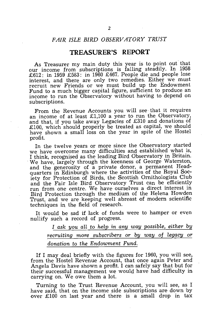## *FAIR ISLE BIRD OBSERVATORY TRUST*

#### **TREASURER'S REPORT**

As Treasurer my main duty this year is to point out that our income from subscriptions is falling steadily. In 1958 £612: in 1959 £583: in 1960 £467. People die and people lose interest, and there are only two remedies. Either we must recruit new Friends or we must build up the Endowment Fund to a much bigger capital figure, sufficient to produce an income to run the Observatory without having to depend on subscriptions.

From the Revenue Accounts you will see· that it requires an income of at least £1,100 a year to run the Observatory, and that, if you take away Legacies of £310 and donations of £100, which should properly be treated as capital, we should have shown a small loss on the year in spite of the Hostel profit.

In the twelve years or more since the Observatory started we have overcome many difficulties and established what is, I think, recognised as the leading Bird Observatory in Britain. We have, largely through the keenness of George Waterston, and the generosity of a private donor, a permanent Headquarters in Edinburgh where the activities of the Royal Society for Protection of Birds, the Scottish Ornithologists Club and the Fair Isle Bird Observatory Trust can be efficiently run from one centre. We have ourselves a direct interest in Bird Protection through the medium of the Helena Howden Trust, and we are keeping well abreast of modern scientific techniques in the field of research.

It would be sad if lack of funds were to hamper or even nullify such a record of progress.

> I ask you all to help in any way possible, either by *recruiting more subscribers or by way* of *legacy or donation* to *the Endowment Fund.*

If I may deal briefly with the figures for 1960, you will see, from the Hostel Revenue Account, that once again Peter and Angela Davis have shown a profit. I can safely say that but for their successful management we would have had difficulty in carrying on. We owe them a lot.

Turning to the Trust Revenue Account, you will see, as I have said, that on the income side subscriptions are down 'by over £100 on last year and there is a small drop in tax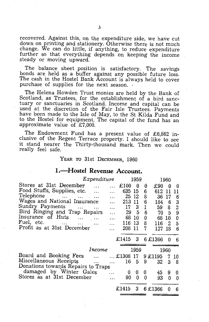recovered. Against this, on the expenditure side, we have cut down on printing and stationery. Otherwise there is not much change. We can do little, if anything, to reduce expenditure further so that everything depends on keeping the income steady or moving upward.

The balance sheet position is satisfactory. The savings bonds are held as a buffer against any possible future loss. The cash in the Hostel Bank Account is always held to cover purchase of supplies for the next season. .

The Helena Howden Trust monies are held by the Bank of Scotland, as Trustees, for the establishment of a bird sanctuary or sanctuaries in Scotland. Income and capital can be used at the discretion of the Fair Isle Trustees. Payments have been made to the Isle of May, to the St Kilda Fund and to the Hostel for equipment. The capital of the fund has an approximate value of £7,000.

The Endowment Fund has a present value of £6,862 inclusive of the Regent Terrace property. I should like to see it stand nearer the Thirty-thousand mark. Then we could really feel safe.

YEAR TO 31st DECEMBER, 1960

# **I.-Hostel Revenue Account.**

|                                                                                                                               | Expenditure  |           |                  | 1959             |              |         | 1960         |                |
|-------------------------------------------------------------------------------------------------------------------------------|--------------|-----------|------------------|------------------|--------------|---------|--------------|----------------|
| Stores at 31st December                                                                                                       | $\mathbf{r}$ |           | £100             | - 0              | 0            | £90     | $\mathbf{0}$ | 0              |
| Food Stuffs, Supplies, etc.                                                                                                   |              |           | 635 15           |                  | 6            | 612     | 11           | 11             |
| Telephone                                                                                                                     |              |           | 25               | -12              | 8            | 36      | 17           | 6              |
| Wages and National Insurance                                                                                                  |              |           | 213 11           |                  | -6           | 184     | 6            | 3              |
| Sundry Payments                                                                                                               |              | $\ddotsc$ | 17               | $\boldsymbol{3}$ | $\mathbf{1}$ | 59.     | 8            | $\overline{2}$ |
| Bird Ringing and Trap Repairs                                                                                                 |              |           | 29               | 5.               | 6            | 70      | 5            | 9              |
| Insurance of Huts<br>$\cdots$                                                                                                 |              | $\ddotsc$ | 68               | 10               | 0            | 68      | 10           | 0              |
| Fuel, etc.<br>and the state of the state of the state of the state of the state of the state of the state of the state of the |              |           | 116              | 13               | 8            | 116     | 2            | 5              |
| Profit as at 31st December                                                                                                    |              |           | 208              | -11              | 7            | 127     | -18          | 6              |
|                                                                                                                               |              |           |                  |                  |              |         |              |                |
|                                                                                                                               |              |           | £1415 3 6 £1366  |                  |              |         | 0            | 6              |
|                                                                                                                               |              |           |                  |                  |              |         |              |                |
|                                                                                                                               | Income       |           |                  | 1959             |              |         | 1960         |                |
| Board and Booking Fees                                                                                                        | $\cdots$     |           | $\dots$ £1308 17 |                  |              | 9 £1195 | 7            | 10             |
| Miscellaneous Receipts                                                                                                        |              | $\ddotsc$ | 16 5             |                  | 9            | 32      | 3            | 8              |
| Donations towards Repairs to Traps                                                                                            |              |           |                  |                  |              |         |              |                |
| damaged by Winter Gales                                                                                                       |              |           | 0                | 10               | 0            | 45      | 9            | 0              |
| Stores as at 31st December                                                                                                    |              | $\sim$    | 90               | 0                | 0            | 93      | 0            | 0              |
|                                                                                                                               |              |           |                  |                  |              |         |              |                |
|                                                                                                                               |              |           | £1415            | 3                |              | 6 £1366 |              | 6              |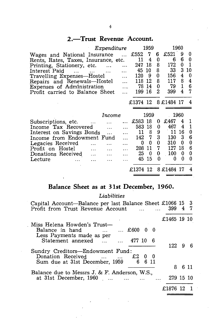# 2.-Trust Revenue Account.

|                                      |           | Expenditure |           |        | 1959     |   |                     | 1960 |                |
|--------------------------------------|-----------|-------------|-----------|--------|----------|---|---------------------|------|----------------|
| Wages and National Insurance         |           |             |           | £552   | 7        | 6 | £521                | 9    | 0              |
| Rents, Rates, Taxes, Insurance, etc. |           |             |           | 11     | 4        | 0 | 6                   | 6    | 0              |
| Printing, Stationery, etc.           |           |             |           | 247    | 18       | 8 | 172                 | 0    | $\mathbf{1}$   |
| Interest Paid                        | $\ddotsc$ | .           |           | 45     | 10       | 8 | 33                  | 3    | 10             |
| Travelling Expenses—Hostel           |           |             |           | 120    | 9        | 0 | 156                 | 4    | 0              |
| Repairs and Renewals-Hostel          |           |             |           | 118    | 12       | 8 | 117                 | 8    | 4              |
| Expenses of Administration           |           |             | $\cdots$  | 78     | 14       | 0 | 79                  | 1    | $6\phantom{a}$ |
| Profit carried to Balance Sheet      |           |             | $\ddotsc$ | 199    | -16      | 2 | 399                 | 4    | 7              |
|                                      |           |             |           |        |          |   | £1374 12 8 £1484 17 |      | -4             |
|                                      |           |             |           |        |          |   |                     |      |                |
|                                      |           |             |           |        |          |   |                     |      |                |
|                                      |           | Income      |           |        | 1959     |   |                     | 1960 |                |
| Subscriptions, etc.                  |           |             |           | £583   | -18      | 0 | £467                | 4    | 1              |
| Income Tax Recovered                 |           | $\cdots$    |           | 583 18 |          | 0 | 467                 | 4    | 1              |
| Interest on Savings Bonds            |           | $\cdots$    |           | 11     | 8        | 9 | 11                  | 16   | 0              |
| Income from Endowment Fund           |           |             |           | 142    | 7        | 3 | 130                 | 3    | 6              |
| Legacies Received                    |           |             |           | 0      | 0        | 0 | 310                 | 0    | 0              |
| Profit on Hostel                     |           | $\ddotsc$   |           | 208    | 11       | 7 | 127                 | 18   | 6              |
| Donations Received                   |           |             |           | 25     | $\bf{0}$ | 0 | 100                 | 0    | 0              |
| Lecture                              |           |             |           | 45     | 15       | 0 | 0                   | 0    | 0              |

# **Balance Sheet as at 31st December, 1960.**

### *Liabilities*

| Capital Account-Balance per last Balance Sheet £1066 15 3<br>Profit from Trust Revenue Account                | 399         | 4 | 7    |
|---------------------------------------------------------------------------------------------------------------|-------------|---|------|
|                                                                                                               | £1465 19 10 |   |      |
| Miss Helena Howden's Trust—<br>Balance in hand<br>$\ldots$ £600<br>$^{\circ}$<br>- 0<br>$\cdots$              |             |   |      |
| Less Payments made as per<br>Statement annexed<br>477 10<br>- 6                                               | 122         |   | 96   |
| Sundry Creditors-Endowment Fund:<br>Donation Received<br>$£2$ 0 0<br>6 6 11<br>Sum due at 31st December, 1959 |             |   |      |
|                                                                                                               | 8           |   | 6 11 |
| Balance due to Messrs J. & F. Anderson, W.S.,<br>at 31st December, 1960                                       | 279 15 10   |   |      |
|                                                                                                               |             |   |      |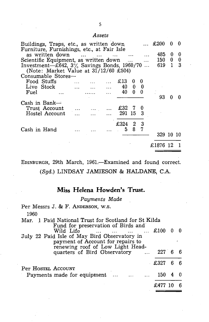#### *Assets*

| Buildings, Traps, etc., as written down              |                             |                           |        |          |              |                          | $\ldots$ £200 | 0        | 0          |
|------------------------------------------------------|-----------------------------|---------------------------|--------|----------|--------------|--------------------------|---------------|----------|------------|
| Furniture, Furnishings, etc., at Fair Isle           |                             |                           |        |          |              |                          |               |          |            |
| as written down                                      |                             |                           |        |          |              |                          | 485           | $\bf{0}$ | 0          |
| Scientific Equipment, as written down                |                             |                           |        |          | $\dddotsc$   | $\ddotsc$                | 150           |          | $0\quad 0$ |
| Investment- $\pm 642$ , $3\%$ Savings Bonds, 1960/70 |                             |                           |        |          |              | $\ddotsc$                | 619 1         |          | -3         |
| (Note: Market Value at $31/12/60$ £504)              |                             |                           |        |          |              |                          |               |          |            |
| Consumable Stores-                                   |                             |                           |        |          |              |                          |               |          |            |
| Food Stuffs                                          | $\sim$ $\sim$ $\sim$ $\sim$ |                           |        | £13      | 0            | 0                        |               |          |            |
| Live Stock                                           |                             | $\sim 100$ and $\sim 100$ | $\sim$ | - 40     | $\bf{0}$     | $\overline{\phantom{0}}$ |               |          |            |
| Fuel                                                 |                             |                           |        | 40       | $\bf{0}$     | $\theta$                 |               |          |            |
|                                                      |                             |                           |        |          |              |                          | 93            |          |            |
| Cash in Bank—                                        |                             |                           |        |          |              |                          |               |          |            |
| Trust Account                                        |                             |                           |        | £32 7    |              |                          |               |          |            |
| Hostel Account                                       |                             | ر میں ان البتار<br>انتخاب |        | 291 15 3 |              |                          |               |          |            |
|                                                      |                             |                           |        |          |              |                          |               |          |            |
|                                                      |                             |                           |        | £324     | $\mathbf{2}$ | - 3                      |               |          |            |
| Cash in Hand                                         |                             |                           |        | 5.       | 8.           | 7                        |               |          |            |
|                                                      |                             |                           |        |          |              |                          | 329 10 10     |          |            |
|                                                      |                             |                           |        |          |              |                          |               |          |            |
|                                                      |                             |                           |        |          |              |                          | £1876 12      |          |            |
|                                                      |                             |                           |        |          |              |                          |               |          |            |
|                                                      |                             |                           |        |          |              |                          |               |          |            |

EDINBURGH, 29th March, 1961.-Examined and found correct. (Sgd.) LINDSAY JAMIESON & HALDANE, C.A.

# **Miss Helena Howden's Trust.**

#### Payments Made

| Per Messrs J. & F. ANDERSON, W.S.                                                                                                                                                                        |          |  |
|----------------------------------------------------------------------------------------------------------------------------------------------------------------------------------------------------------|----------|--|
| 1960                                                                                                                                                                                                     |          |  |
| Mar. 1 Paid National Trust for Scotland for St Kilda<br>Fund for preservation of Birds and<br>Wild Life $\qquad \dots \qquad \dots \qquad \dots \qquad \dots \qquad \text{\pounds}{100} \quad 0 \quad 0$ |          |  |
| July 22 Paid Isle of May Bird Observatory in<br>payment of Account for repairs to<br>renewing roof of Low Light Head-                                                                                    |          |  |
| quarters of Bird Observatory  227 6 6                                                                                                                                                                    |          |  |
| Per HOSTEL ACCOUNT                                                                                                                                                                                       | £327 6 6 |  |
| Payments made for equipment    150                                                                                                                                                                       |          |  |
|                                                                                                                                                                                                          | £477     |  |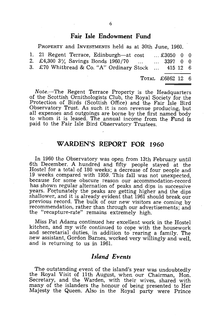#### **Fair Isle Endowment Fund**

PROPERTY and INVESTMENTS held as at 30th June, 1960.

| 3. £70 Whitbread & Co. "A" Ordinary Stock  415 12 6                                      | TOTAL £6862 12 6  |  |
|------------------------------------------------------------------------------------------|-------------------|--|
| 1. 21 Regent Terrace, Edinburgh—at cost<br>2. £4,300 3% Savings Bonds 1960/70   3397 0 0 | $\dots$ £3050 0 0 |  |

Note.-The Regent Terrace Property is the Headquarters of the Scottish Ornithologists Club, the Royal Society for the Protection of Birds (Scottish Office) and the Fair Isle Bird Observatory Trust. As such it is non revenue producing, but all expenses and outgoings are borne by the first named body to whom it is leased. The annual income from the Fund is paid to the Fair Isle Bird Observatory Trustees.

# **WARDEN'S REPORT FOR 1960**

In 1960 the Observatory was open from 13th February until 6th December. A hundred and fifty people stayed at the Hostel for a total of 180 weeks; a decrease of four people and 19 weeks compared with 1959. This fall was not unexpected, because for some obscure reason our accommodation-record has shown regular alternation of peaks and dips in successive years. Fortunately the peaks are getting higher and the dips shallower, and it is already evident that 1961 should break our previous record. The bulk of our new visitors are coming by recommendation, rather than through our advertisements; and the "recapture-rate" remains extremely high.

Miss Pat Adams continued her excellent work in the Hostel kitchen, and my wife continued to cope with the housework and secretarial duties, in addition to rearing a family. The new assistant, Gordon Barnes, worked very willingly and well, and is returning to us in 1961.

#### *Island Events*

The outstanding event of the island's year was undoubtedly the Royal Visit of 11th August, when our Chairman, Hon. Secretary, and the Warden, with their wives, shared with many of the islanders the honour of being presented to Her Majesty the Queen. Also in the Royal party were Prince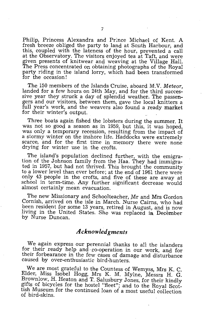Philip, Princess Alexandra and Prince Michael of Kent. A fresh breeze obliged the party to land at South Harbour, and this, coupled with the lateness of the hour, prevented a call at the Observatory. The visitors enjoyed tea at Taft, and were given presents of knitwear and weaving at the Village Hall. The Press concentrated on obtaining photographs of the Royal party riding in the island lorry, which had been transformed for the occasion!

The 150 members of the Islands Cruise, aboard M.V. *Meteor,*  landed for a few hours on 24th May, and for the third successive year they struck a day of splendid weather. The passengers and our visitors, between them, gave the local knitters a full year's work, and the weavers also found a ready market for their winter's output.

Three boats again fished the lobsters during the summer. It was not so good a season as in 1959, but this, it was hoped, was only a temporary recession, resulting from the impact of a stormy winter on the inshore life. Haddocks were extremely scarce, and for the first time in memory there were none drying for winter use in the crofts.

The island's population declined further, with the emigration of the Johnson family from the Haa. They had immigrated in 1957, but had not thrived. This brought the community to a lower level than ever before; at the end of 1961 there were only 43 people in the crofts, and five of these are away at school in term-time. Any further significant decrease would almost certainly mean evacuation.

The new Missionary and Schoolteacher, Mr and Mrs Gordon Cornish, arrived on the isle in March. Nurse Cairns, who had been resident for some 13 years, retired in August, and is now living in the United States. She was replaced in December by Nurse Duncan.

# *A cknowled gments*

We again express our perennial thanks to all the islanders for their ready help and  $\cos$ -operation in our work, and for their forbearance in the few cases of damage and disturbance caused by over-enthusiastic bird-hunters.

We are most grateful to the Countess of Wemyss, Mrs K. C. Elder, Miss Isobel Hogg, Mrs K. M. Mylne, Messrs H. G. Brownlow, H. Heaton and T. Salusbury Jones, for their kindly gifts of bicycles for the hostel "fleet"; and to the Royal Scottish Museum for the continued loan of a most useful collection of bird-skins.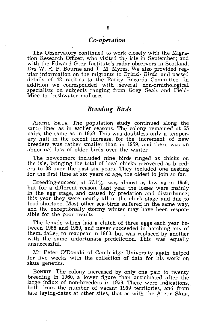#### *Co-operation*

The Observatory continued to work closely with the Migration Research Officer, who visited the isle in September; and with the Edward Grey Institute's radar observers in Scotland, Drs W. R. P. Bourne and T. M. Myres. We also provided regular information on the migrants to *British Birds,* and passed details of 42 rarities to the Rarity Records Committee. In addition we corresponded with several non-ornithological specialists on subjects ranging from Grey Seals and Field-Mice to freshwater molluscs.

### *Breeding Birds*

ARCTIC SKUA. The population study continued along the same lines as in earlier seasons. The colony remained at 65 pairs, the same as in 1959. This was doubtless only a temporary halt in the recent increase, for the increment of new breeders was rather smaller than in 1959, and there was an abnormal loss of older birds over the winter.

The newcomers included nine birds ringed as chicks on the isle, bringing the total of local chicks recovered as breeders to 38 over the past six years. They included one nesting for the first time at six years of age, the oldest to join so far.

Breeding-success, at  $57.1\%$ , was almost as low as in 1959, but for a different reason. Last year the losses were mainly in the egg stage, and caused by predation and disturbance; this year they were nearly all in the chick stage and due to food-shortage. Most other sea-birds suffered in the same way, and the exceptionally stormy winter may have been responsible for the poor results.

The female which laid a clutch of three eggs each year between 1956 and 1959, and never succeeded in hatching any of them, failed to reappear in 1960, but was replaced by another with the same unfortunate predeliction. This was equally unsuccessful.

Mr Peter O'Donald of Cambridge University again helped for five weeks with the collection of data for his work on skua genetics.

BONXIE. The colony increased by only one pair to twenty breeding in 1960, a lower figure than anticipated after the large influx of non-breeders in 1959. There were indications, both from the number of vacant 1959 territories, and from late laying-dates at other sites, that as with the Arctic Skua,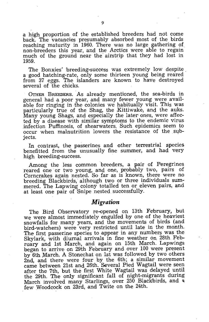a high proportion of the established breeders had not come back. The vacancies presumably absorbed most of the birds reaching maturity in 1960. There was no large gathering of non-breeders this year, and the Arctics were able to regain much of the ground near the airstrip that they had lost in 1959.

The Bonxies' 'breeding-success was extremely low despite. a good hatching-rate, only some thirteen young being reared from 37 eggs. The islanders are known to have destroyed several of the chicks.

OTHER BREEDERS. As already mentioned, the sea-birds in general had a poor year, and many fewer young were available for ringing in the colonies we habitually visit. This was particularly true of the Shag, the Kittiwake, and the auks. Many young Shags, and especially the later ones, were affected by a disease with similar symptoms to the endemic virus infection Puffinosis, of shearwaters. Such epidemics seem to occur when malnutrition lowers the resistance of the subjects. -

In contrast, the passerines and other terrestrial species benefitted from the unusually fine summer, and had very high breeding-success.

Among the less common breeders, a pair of Peregrines reared one or two young, and one, probably two, pairs of Corncrakes again nested. So far as is known, there were no breeding Blackbirds, although two or three individuals summered. The Lapwing colony totalled ten or eleven pairs, and at least one pair of Snipe nested successfully.

#### *Migration*

The Bird Observatory re-opened on 13th February, but we were almost immediately engulfed by one of the heaviest snowfalls for many years, and the movements of birds (and bird-watchers) were very restricted until late in the month. The first passerine species to appear in any numbers was the Skylark, with diurnal arrivals in fine weather on 28th February and 1st March, and again on 15th March. Lapwings began to arrive on 29th February and over 100 were present by 6th March. A Stonechat on 1st was followed by two others 2nd, and there were four by the 6th; a similar movement came between 21st and 26th. Several Pied Wagtail were seen after the 7th, but the first White Wagtail was delayed until the 29th. The only significant fall of night-migrants during March involved many Starlings, over 250 Blackbirds, and a few Woodcock on 23rd, and Twite on the 24th.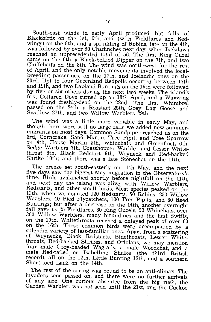South-east winds in early April produced big falls of Blackbirds on the 1st, 6th, and (with Fieldfares and Redwings) on the 8th; and a sprinkling of Robins, late on the 4th, was followed by over 80 Chaffinches next day, when Jackdaws reached an unprecedented total of 56. The first Ring Ouzel came on the 6th, a Black-bellied Dipper on the 7th, and two Chiffchaffs on the 8th. The wind was north-west for the rest of April, and the only notable movements involved the localbreeding passerines, on the 17th, and Icelandic ones on the 23rd. Upt to four Greenland Redpolls occurred between 17th and 19th, and two Lapland Buntings on the 19th were followed by five or six others during the next two weeks. The island's first Collared Dove turned up on 18th April, and a Waxwing was found freshly-dead on the 22nd.. The first Whimbrel passed on the 24th, a Redstart 25th, Grey· Lag Goose and Swallow 27th, and two Willow Warblers 29th.

The wind was a little more variable in early May, and though there were still no large falls we added new summermigrants on most days. Common Sandpiper reached us on the 3rd, Corncrake, Sand Martin, Tree Pipit, and Tree Sparrow on 4th, House Martin 5th, Whinchats and Greenfinch 6th, Sedge Warblers 7th, Grasshopper Warbler and Lesser Whitethroat 8th, Black Redstart 9th, Wryneck and Red-backed Shrike 10th; and there was a late Stonechat on the 11th.

The breeze set south-easterly on 11th May, and the next five days saw the biggest May migration in the Observatory's time. Birds avalanched shortly before nightfall on the 11th, and next day the island was alive with Willow Warblers, Redstarts, and other small birds. Most species peaked on the 13th, when we counted 120 Redstarts, 50 Robins, 250 Willow Warblers, 40 Pied Flycatchers, 100 Tree Pipits, and 30 Reed Buntings; but after a decrease on the 14th, another overnight fall gave us 25 Fieldfares, 30 Ring Ouzels, 50 Whinchats, over 300 Willow Warblers, many hirundines and the first Swifts, on the 15th. Whitethroats reached a delayed peak of over  $60$ on the 16th. These common birds were accompanied by a splendid variety of less-familiar ones. Apart from a scattering of Wrynecks, Black Redstarts, Bluethroats, Lesser Whitethroats, Red-backed Shrikes, and Ortolans, we may mention four male Grey-headed Wagtails, a male Woodchat, and a male Red-tailed or Isabelline Shrike (the third British record), all on the 12th, Little Bunting 13th, and a southern Short-toed Lark on the 14th.

The rest of the spring was bound to be an anti-climax. The invaders soon passed on, and there were no further arrivals of any size. One curious absentee from the big rush, the Garden Warbler, was not seen until the 21st, and the Cuckoo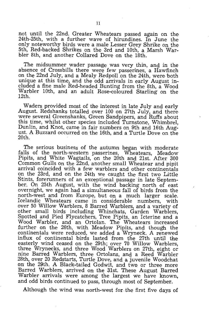not until the 22nd. Greater Wheatears passed again on the 24th-25th, with a further wave of hirundines. In June the only noteworthy birds were a male Lesser Grey Shrike on the 5th, Red-backed Shrikes on the 3rd and 10th, a Marsh Warbler 8th, and another Collared Dove on the 18th.

The midsummer wader passage was very thin, and in the absence of Crossbills there were few passerines, a Hawfinch on the 22nd July, and a Mealy Redpoll.on the 24th, were both unique at this time, and the odd arrivals in early August included a fine male Red-headed Bunting from the 8th, a Wood Warbler 10th, and an adult Rose-coloured Starling on the 12th.

Waders provided most of the interest in late July and early August. Redshanks totalled over 100 on 27th July, and there were several Greenshanks, Green Sandpipers, and Ruffs about this time, whilst other species included Turnstone, Whimbrel, Dunlin, and Knot, came in fair numbers on 9th and 16th August. A Buzzard occurred on the 16th, and a Turtle Dove on the 20th.

The serious business of the autumn began with moderate falls of the north-western passerines, Wheatears, Meadow Pipits, and White Wagtails, on the 20th and 21st. After 300 Common Gulls on the 22nd, another small Wheatear and pipit arrival coincided with a few warblers and other continentals on the 23rd, and on the 24th we caught the first two Little Stints, forerunners of an exceptional passage in late September. On 25th August, with the wind backing north of east overnight, we again had a simultaneous fall of birds from the north-west and from Europe, but on a much larger scale. Icelandic Wheatears came in considerable numbers, with over 50 Willow Warblers, 8 Barred Warblers, and a variety of other small birds including Whinchats, Garden Warblers, Spotted and Pied Flycatchers, Tree Pipits, an Icterine and a Wood Warbler, and an Ortolan. The Wheatears increased further on the 26th, with Meadow Pipits, and though the continentals were reduced, we added a Wryneck. A renewed influx of continental birds lasted from the 27th until the easterly wind ceased on the 29th; over 70 Willow Warblers, three Wrynecks, and three Wood Warblers on 27th, eight or nine Barred Warblers, three Ortolans, and a Reed Warbler 28th, over 20 Redstarts, Turtle Dove, and a juvenile Woodchat on: the 29th. A Black-tailed Godwit, and two or three more Barred Warblers, arrived on the 31st. These August Barred Warbler arrivals were among the largest we have known, and odd birds continued to pass, through most of September.

Although the wind was north-west for the first five days of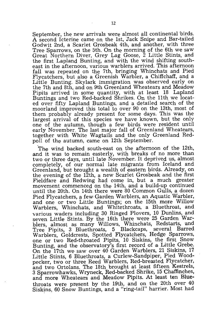September, the new arrivals were almost all continental birds. A second Icterine came on the 1st, Jack Snipe and Bar-tailed Godwit 2nd, a Scarlet Grosbeak 4th, and another, with three Tree Sparrows, on the 5th. On the morning of the 6th we saw Great Northern Diver, Grey Lag Goose, 2 Little Stints, and the first Lapland Bunting, and with the wind shifting southeast in the afternoon, various warblers arrived. This afternoon fall was repeated on the 7th, bringing Whinchats and Pied Flycatchers, but also a Greenish Warbler, a Chiffchaff, and a Little Bunting. Skylark immigration was observed early on the 7th and 8th, and on 9th Greenland Wheatears and Meadow Pipits arrived in some quantity, with at least 18 Lapland Buntings and two Red-backed Shrikes. On the 11th we located over fifty Lapland Buntings, and a detailed search of the moorland improved this total to over 90 on the 13th, most of them probably already present for some days. This was the largest arrival of this species we have known, but the only one of the autumn, though a few birds were resident until early November. The last major fall of Greenland Wheatears, together with White Wagtails and the only Greenland Redpoll of the autumn, came on 12th September.

'The wind backed south-east on the afternoon of the 12th, and it was to remain easterly, with breaks of no more than two or three days, until late November. It deprived us, almost completely, of our normal late migrants from Iceland and Greenland, but brought a wealth of eastern birds. Already, on the evening of the 12th, a new Scarlet Grosbeak and the first Fieldfare and Redwing had come in, but a much greater movement commenced on the 14th, and a build-up continued until the 20th. On 14th there were 80 Common Gulls, a dozen Pied Flycatchers, a few Garden Warblers, an Aquatic Warbler, and one or two Little Buntings; on the 15th more Willow Warblers, Whinchats, and Whitethroats, a Bluethroat, and various waders including 30 Ringed Plovers, 10 Dunlins, and seven Little Stints. By the 16th there were 25 Garden Warblers, almost as many Willows, Whinchats, Redstarts, and Tree Pipits, 3 Bluethroats, 5 Blackcaps, several Barred Warblers, Goldcrests, Spotted Flycatchers, Hedge Sparrows, one or two Red-throated Pipits, 10 Siskins, the first Snow Bunting, and the observatory's first record of a Little Grebe. On the 17th we saw over 40 Garden Warblers, 21 Siskins, 17 Little Stints, 6 Bluethroats, a Curlew-Sandpiper, Pied Woodpecker, two or three Reed Warblers, Red-breasted Flycatcher, and two Ortolans. The 18th brought at least fifteen Kestrels, 3 Sparrowhawks, Wryneck, Red-backed Shrike, 15 Chaffinches, and more Wheatears and Meadow Pipits. At least ten **Blue**throats were present by the 19th, and on the 20th over 40 Siskins, 60 Snow Buntings, and a "ring-tail" harrier. Most had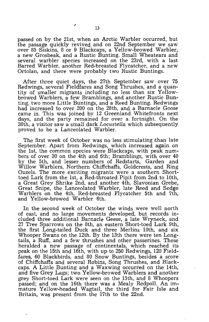passed on by the 21st, when an Arctic Warbler occurred, but the passage quickly revived and on 22nd September we saw over 85 Siskins, 8 or 9 Blackcaps, a Yellow-browed Warbler, a new Grosbeak, and a Rustic Bunting. Small Wheatears and several warbler species increased on the 23rd, with a last Barred Warbler, another Red-breasted Flycatcher, and a new Ortolan, and there were probably two Rustic Buntings.

After three quiet days, the 27th September saw over 75 Redwings, several Fieldfares and Song Thrushes, and a quantity of smaller migrants including no less than six Yellowbrowed Warblers, a few Bramblings, and another Rustic Bunting, two more Little Buntings, and a Reed Bunting. Redwings had increased to over 200 on the 28th, and a Barnacle Goose came in. This was joined by 12 Greenland Whitefronts next days, and the party remained for over a fortnight. On the 30th, a visitor saw a small dark *Locustella* which subsequently proved to be a Lanceolated Warbler.

The first week of October was no less stimulating (than late September. Apart from Redwings, which increased again on the 1st, the common species were Blackcaps, with peak numbers of over 30 on the 4th and 6th; Bramblings, with over 40 by the 5th, and lesser numbers of Redstarts, Garden and Willow Warblers, Northern Chiffchaffs, Goldcrests, and Ring Ouzels. The more exciting migrants were a southern Shorttoed Lark from the 1st, a Red-throated Pipit from 2nd to 10th, a Great Grey Shrike 2nd, and another 4th, Slavonian Grebe, Great Snipe, the Lanceolated Warbler, late Reed and Sedge Warblers on the 4th, Red-breasted Flycatcher 5th and 7th, and Yellow-browed Warbler 6th.

In the second week of October the winds were well north of east, and no large movements developed, but records included three additional Barnacle Geese, a late Wryneck, and 27 Tree Sparrows on the 8th, an eastern Short-toed Lark 9th, the first Long-tailed Duck and three Merlins 10th, and six Whooper Swans on the 12th. By the 13th there were ten Longtails, a Ruff, and a few thrushes and other passerines. These heralded a new passage of continentals, which reached its peak on the 15th and 16th, with up to 250 Redwings, 120 Fieldfares, 60 Blackbirds, and 80 Snow Buntings, besides a score of Chiffchaffs and several Robins, Song Thrushes, and Blackcaps. A Little Bunting and a Waxwing occurred on the 14th, and five Grey Lags; two Yellow-browed Warblers and another grey Short-toed Lark were seen on the 15th, and 8 Whoopers passed; and on the 16th there was a Mealy Redpoll. An immature Yellow-headed Wagtail, the third for Fair Isle and Britain, was present from the 17th to the 22nd.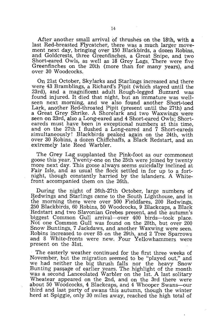After another small arrival of thrushes on the 18th, with a last Red-breasted Flycatcher, there was a much larger movement next day, bringing over 150 Blackbirds, a dozen Robins, and Goldcrests, three Greenfinches, a Great Snipe, and two Short-eared Owls, as well as 18 Grey Lags. There were five Greenfinches on the 20th (more than for many years), and over 30 Woodcocks.

On 21st October, Skylarks and Starlings increased and there were 43 Bramblings, a Richard's Pipit (which stayed until the 23rd), and a magnificent adult Rough-legged Buzzard was found injured. It died that night, but an immature was wellseen next morning, and we also found another Short-toed Lark, another Red-throated Pipit (present until the 27th) and a Great Grey Shrike. A Shorelark and two Waxwings were seen on 23rd, also a Long-eared and 4 Short-eared Owls; Shorteareds must have been in exceptional numbers at this time, and on the 27th I flushed a Long-eared and 7 Short-eareds simultaneously! Blackbirds peaked again on the 24th, with over 30 Robins, a dozen Chiffchaffs, a Black Redstart, and an extremely late Reed Warbler.

The Grey Lag supplanted the Pink-foot as our commonest goose this year. Twenty-onc on the 25th were joined by twenty more next day. This goose always seems suicidally inclined at Fair Isle, and as usual the flock settled in for up to a fortnight, though constantly harried by the islanders. A Whitefront accompanied them on the 26th.

During the night of 26th-27th October, large numbers of Redwings and Starlings came to the South Lighthouse, and in the morning there were over 500 Field£ares, 200 Redwings, 250 Blackbirds, 60 Robins, 50 Woodcocks, 9 Blackcaps, a Black Redstart and two Slavonian Grebes present, and the autumn's biggest Common Gull arrival-over 400 birds-took place. Not one Common Gull was found on the 28th, but over 200 Snow Buntings, 7 Jackdaws, and another Waxwing were seen. Robins increased to over 85 on the 29th, and 2 Tree Sparrows and 8 White-fronts were new. Four Yellowhammers were present on the 31st.

The easterly weather continued for the first three weeks of November, but the migration seemed to be "played out," and we had neither the big thrush falls nor the heavy Snow Bunting passage of earlier years. The highlight of the month was a second Lanceolated Warbler on the 1st. A last solitary Wheatear appeared on the 2nd, and on the 3rd there were about 50 Woodcocks, 4 Blackcaps, and 4 Whooper Swans-our third and last party of swans this autumn, though the winter herd at Spiggie, only 30 miles away, reached the high total of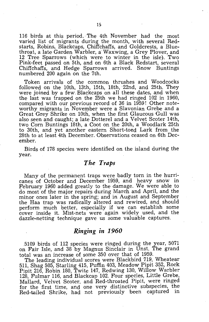116 birds at this period. The 4th November had the most varied list of migrants during the month, with several Redstarts, Robins, Blackcaps, Chiffchaffs, and Goldcrests, a Bluethroat, a late Garden Warbler, a' Waxwing, a Grey Plover, and 12 Tree Sparrows (which were to winter in the isle). Two Pink-feet passed on 5th, and on 6th a Black Redstart, several Chiffchaffs, and Hedge Sparrows arrived. Snow Buntings numbered 200 again on the 7th.

Token arrivals of the common thrushes and Woodcocks followed on the 10th, 13th, 15th, 18th,22nd, and 25th. They were joined by a few Blackcaps on all these dates, and when the last was trapped on the 25th we had ringed 102 in 1960, compared with our previous record of 36 in 1959! Other noteworthy migrants in November were a Slavonian Grebe and a Great Grey Shrike on 10th, when the first Glaucous Gull was also seen and caught; a late Dotterel and a Velvet Scoter 14th, two Corn Buntings 18th, a Coot on the 20th, a Woodlark 25th to 30th, and yet another eastern Short-toed Lark from the 28th to at least 4th December. Observations ceased on 6th December.

Birds of 178 species were identified on the island during the year.

## *The Traps*

Many of the permanent traps were badly torn in the hurricanes of October and December 1959, and heavy snow in February 1960 added greatly to the damage. We were able to do most of the major repairs during March and April, and the minor ones later in the spring; and in August and September the Haa trap was radically altered and rewired, and should perform much better, especially if we can establish some cover inside it. Mist-nets were again widely used, and the dazzle·netting technique gave us some valuable captures.

#### *Ringing in* **1960**

5109 birds of 112 species were ringed during the year, 5071 on Fair Isle, and 38 by Magnus Sinclair in Unst. The grand total was an increase of some 350 over that of 1959.

The leading individual scores were Blackbird 719, Wheatear 511, Shag 505, Starling 415, Puffin 403, Meadow Pipit 352, Rock Pipit 216, Robin 180, Twite 147, Redwing 130, Willow Warbler 128, Fulmar 116, and Blackcap 102. Four species, Little Grebe, Mallard, Velvet Scoter, and Red-throated Pipit, were ringed for the first time, and one very distinctive subspecies, the Red-tailed Shrike, had not previously been captured in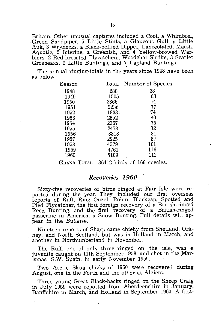Britain. Other unusual captures included a Coot, a Whimbrel, Green Sandpiper, 5 Little Stints, a Glaucous Gull, a Little Auk, 3 Wrynecks, a Black-bellied Dipper, Lanceolated, Marsh, Aquatic, 2 Icterine, a Greenish, and 4 Yellow-browed Warblers, 2 Red-breasted Flycatchers, Woodchat Shrike, 3 Scarlet Grosbeaks, 2 Little Buntings, and 7 Lapland Buntings.

The annual ringing-totals in the years since 1948 have been as below:

| Season | Total | Number of Species |
|--------|-------|-------------------|
| 1948   | 288   | 38                |
| 1949   | 1505  | 63                |
| 1950   | 2366  | 74                |
| 1951   | 2236  | 77                |
| 1952   | 1933. | 74                |
| 1953   | 2552  | 80                |
| 1954   | 2367  | 75                |
| 1955   | 2478  | 82                |
| 1956   | 3313  | 81                |
| 1957   | 2925  | 87                |
| 1958   | 4579  | 101               |
| 1959   | 4761  | 116               |
| 1960   | 5109  | 112               |
|        |       |                   |

GRAND TOTAL: 36412 birds of 166 species.

#### *Recoveries* **1960**

Sixty-five recoveries of birds ringed at Fair Isle were reported during the year. They included our first overseas reports of Ruff, Ring Ouzel, Robin, Blackcap, Spotted and Pied Flycatcher, the first foreign recovery of a British-ringed Reed Bunting, and the first recovery of a British-ringed passerine in America, a Snow Bunting. Full details will appear in the *Bulletin.* 

Nineteen reports of Shags came chiefly from Shetland, Orkney, and North Scotland, but was in Holland in March, and another in Northumberland in November.

The Ruff, one of only three ringed on the isle, was a juvenile caught on 11th September 1958, and shot in the Marismas, S.W. Spain, in early November 1959.

Two Arctic Skua chicks of 1960 were recovered during August, one in the Forth and the other at Algiers.

Three young Great Black-backs ringed on the Sheep Craig in July 1959 were reported from Aberdeenshire in January, Banffshire in March, and Holland in 'September 1960. A first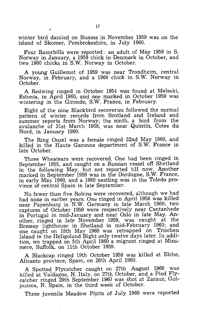winter bird dazzled on Buness in November 1959 was on the island of Skomer, Pembrokeshire, in July 1960.

Four Razorbills were reported: an adult of May 1959 in S. Norway in January, a 1959 chick in Denmark in October, and two 1960 chicks in S.W. Norway in October.

A young Guillemot of 1959 was near Trondheim, central Norway, in February, and a 1960 chick in S.W. Norway in October.

A Redwing ringed in October 1954 was found at Meleski, Estonia, in April 1960, and one marked in October 1959 was wintering in the Gironde, S.W. France, in February.

Eight of the nine Blackbird recoveries followed the normal pattern of winter records from Scotland and Ireland and summer reports from Norway; the ninth, a bird from the avalanche of 31st March 1958, was near Quintin, Cotes du Nord, in January 1960.

The Ring Ouzel was a female ringed 22nd May 1960, and killed in the Haute Garonne department of S.W. France in late October.

Three Wheatears were recovered. One had been ringed in September 1955, and caught on a Russian vessel off Shetland in the following May, but not reported till now. Another marked in September 1959 was in the Dordogne, S.W. France, in early May 1960, and a 1960 nestling was in the Toledo province of central Spain in late September.

No fewer than five Robins were recovered, although we had had none in earlier years. One ringed in April 1958 was killed near Papenburg in N.W. Germany in late March 1960; two captures of October 1959 were respectively near Cantanhede in Portugal in mid-January and near Oslo in late May. Another, ringed in late November 1959, was caught at the Bressay lighthouse in Shetland in mid-February 1960; and one caught on 18th May 1960 was retrapped on Trischen Island in the Heligoland Bight only twelve days later. In addition, we trapped on 5th April 1960 a migrant ringed at Minsmere, Suffolk, on 11th October 1959.

A Blackcap ringed 19th October 1959 was killed at Elche, Alicante province, Spain, on 26th April 1960.

A Spotted Flycatcher caught on 27th August 1960 was killed at Valdagno, N. Italy, on 27th October, and a Pied Flycatcher ringed 29th September 1960 was shot at Zarauz, Guipuzcoa, N. Spain, in the third week of October.

Three juvenile Meadow Pipits of July 1960 were reported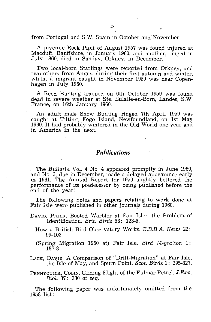from Portugal and S.W. Spain in October and November.

A juvenile Rock Pipit of August 1957 was found injured at Macduff, Banffshire, in January 1960, and another, ringed in July 1960, died in Sanday, Orkney, in December.

Two local-born Starlings were reported from Orkney, and two others from Angus, during their first autumn and winter, whilst a migrant caught in November 1959 was near Copenhagen in July 1960.

A Reed Bunting trapped on 6th October 1959 was found dead in severe weather at Ste. Eulalie-en-Born, Landes, S.W. France, on 16th January 1960.

An adult male Snow Bunting ringed 7th April 1959 was caught at Tilting, Fogo Island, Newfoundland, on 1st May 1960. It had probably wintered in the Old World one year and in America in the next.

#### *Publications*

The *Bulletin* Vol. 4 No. 4 appeared promptly in June 1960, and No. 5, due in December, made a delayed appearance early in 1961. The Annual Report for 1959 slightly bettered the performance of its predecessor by being published before the end of the year!

The following notes and papers relating to work done at Fair Isle were published in other journals during 1960.

DAVIS, PETER. Booted Warbler at Fair Isle: the Problem of Identification. *Brit. Birds* 53: 123-5.

How a British Bird Observatory Works. *B.B.B.A. News 22:*  99-102.

(Spring Migration 1960 at) Fair Isle. *Bird Migration* 1: 187-8.

LACK, DAVID. A Comparison of "Drift-Migration" at Fair Isle, the Isle of May, and Spurn Point. *Scot. Birds* 1: 295-327.

PENNYCUICK, COLIN. Gliding Flight of the Fulmar Petrel. J.Exp. *Biol.* 37: 330 et *seq.* 

The following paper was unfortunately omitted from the 1958 list: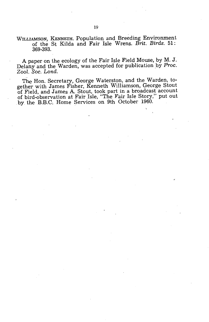#### WILLIAMSON, KENNETH. Population and Breeding Environment of the St Kilda and Fair Isle Wrens. *Brit. Birds.* 51: 369-393.

A paper on the ecology of the Fair Isle Field Mouse, by M. J. Delany and the Warden, was accepted for publication by *Proc. Zool. Soc. Lond.* 

The Hon. Secretary, George Waterston, and the Warden, together with James Fisher, Kenneth Williamson, George Stout of Field, and James A. Stout, took part in a broadcast account of bird-observation at Fair Isle, "The Fair Isle Story," put out by the B.B.C. Home Services on 9th October 1960.